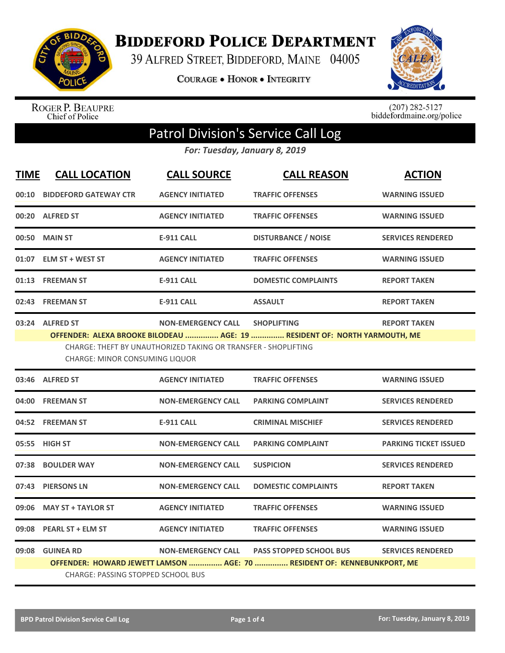

**BIDDEFORD POLICE DEPARTMENT** 

39 ALFRED STREET, BIDDEFORD, MAINE 04005

**COURAGE . HONOR . INTEGRITY** 



ROGER P. BEAUPRE<br>Chief of Police

 $(207)$  282-5127<br>biddefordmaine.org/police

## Patrol Division's Service Call Log

*For: Tuesday, January 8, 2019*

| <b>TIME</b> | <b>CALL LOCATION</b>                                                                                                                                                                                                                                                              | <b>CALL SOURCE</b>        | <b>CALL REASON</b>                                                                                        | <b>ACTION</b>                |  |
|-------------|-----------------------------------------------------------------------------------------------------------------------------------------------------------------------------------------------------------------------------------------------------------------------------------|---------------------------|-----------------------------------------------------------------------------------------------------------|------------------------------|--|
|             | 00:10 BIDDEFORD GATEWAY CTR                                                                                                                                                                                                                                                       | <b>AGENCY INITIATED</b>   | <b>TRAFFIC OFFENSES</b>                                                                                   | <b>WARNING ISSUED</b>        |  |
|             | 00:20 ALFRED ST                                                                                                                                                                                                                                                                   | <b>AGENCY INITIATED</b>   | <b>TRAFFIC OFFENSES</b>                                                                                   | <b>WARNING ISSUED</b>        |  |
|             | 00:50 MAIN ST                                                                                                                                                                                                                                                                     | <b>E-911 CALL</b>         | <b>DISTURBANCE / NOISE</b>                                                                                | <b>SERVICES RENDERED</b>     |  |
|             | 01:07 ELM ST + WEST ST                                                                                                                                                                                                                                                            | <b>AGENCY INITIATED</b>   | <b>TRAFFIC OFFENSES</b>                                                                                   | <b>WARNING ISSUED</b>        |  |
|             | 01:13 FREEMAN ST                                                                                                                                                                                                                                                                  | <b>E-911 CALL</b>         | <b>DOMESTIC COMPLAINTS</b>                                                                                | <b>REPORT TAKEN</b>          |  |
|             | 02:43 FREEMAN ST                                                                                                                                                                                                                                                                  | <b>E-911 CALL</b>         | <b>ASSAULT</b>                                                                                            | <b>REPORT TAKEN</b>          |  |
|             | 03:24 ALFRED ST<br><b>NON-EMERGENCY CALL</b><br><b>SHOPLIFTING</b><br><b>REPORT TAKEN</b><br>OFFENDER: ALEXA BROOKE BILODEAU  AGE: 19  RESIDENT OF: NORTH YARMOUTH, ME<br>CHARGE: THEFT BY UNAUTHORIZED TAKING OR TRANSFER - SHOPLIFTING<br><b>CHARGE: MINOR CONSUMING LIQUOR</b> |                           |                                                                                                           |                              |  |
|             | 03:46 ALFRED ST                                                                                                                                                                                                                                                                   | <b>AGENCY INITIATED</b>   | <b>TRAFFIC OFFENSES</b>                                                                                   | <b>WARNING ISSUED</b>        |  |
|             | 04:00 FREEMAN ST                                                                                                                                                                                                                                                                  | <b>NON-EMERGENCY CALL</b> | <b>PARKING COMPLAINT</b>                                                                                  | <b>SERVICES RENDERED</b>     |  |
|             | 04:52 FREEMAN ST                                                                                                                                                                                                                                                                  | <b>E-911 CALL</b>         | <b>CRIMINAL MISCHIEF</b>                                                                                  | <b>SERVICES RENDERED</b>     |  |
|             | 05:55 HIGH ST                                                                                                                                                                                                                                                                     | <b>NON-EMERGENCY CALL</b> | <b>PARKING COMPLAINT</b>                                                                                  | <b>PARKING TICKET ISSUED</b> |  |
| 07:38       | <b>BOULDER WAY</b>                                                                                                                                                                                                                                                                | <b>NON-EMERGENCY CALL</b> | <b>SUSPICION</b>                                                                                          | <b>SERVICES RENDERED</b>     |  |
|             | 07:43 PIERSONS LN                                                                                                                                                                                                                                                                 | <b>NON-EMERGENCY CALL</b> | <b>DOMESTIC COMPLAINTS</b>                                                                                | <b>REPORT TAKEN</b>          |  |
| 09:06       | <b>MAY ST + TAYLOR ST</b>                                                                                                                                                                                                                                                         | <b>AGENCY INITIATED</b>   | <b>TRAFFIC OFFENSES</b>                                                                                   | <b>WARNING ISSUED</b>        |  |
| 09:08       | <b>PEARL ST + ELM ST</b>                                                                                                                                                                                                                                                          | <b>AGENCY INITIATED</b>   | <b>TRAFFIC OFFENSES</b>                                                                                   | <b>WARNING ISSUED</b>        |  |
|             | 09:08 GUINEA RD<br><b>CHARGE: PASSING STOPPED SCHOOL BUS</b>                                                                                                                                                                                                                      | <b>NON-EMERGENCY CALL</b> | <b>PASS STOPPED SCHOOL BUS</b><br>OFFENDER: HOWARD JEWETT LAMSON  AGE: 70  RESIDENT OF: KENNEBUNKPORT, ME | <b>SERVICES RENDERED</b>     |  |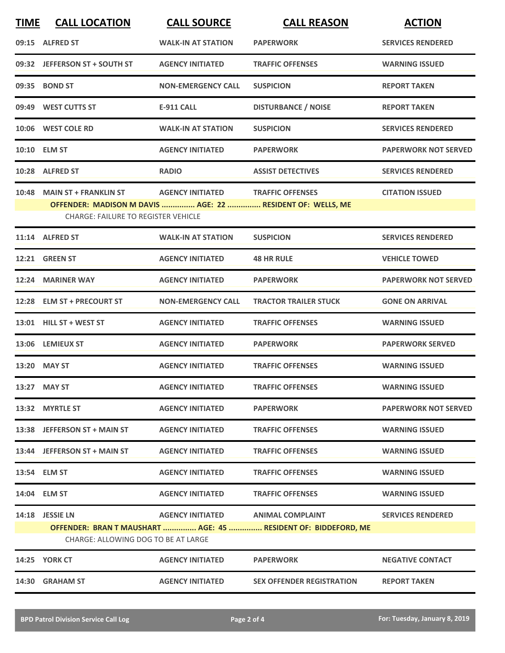| <b>TIME</b> | <b>CALL LOCATION</b>                                                                                                                    | <b>CALL SOURCE</b>                | <b>CALL REASON</b>                                             | <b>ACTION</b>               |
|-------------|-----------------------------------------------------------------------------------------------------------------------------------------|-----------------------------------|----------------------------------------------------------------|-----------------------------|
|             | 09:15 ALFRED ST                                                                                                                         | <b>WALK-IN AT STATION</b>         | <b>PAPERWORK</b>                                               | <b>SERVICES RENDERED</b>    |
|             | 09:32 JEFFERSON ST + SOUTH ST                                                                                                           | <b>AGENCY INITIATED</b>           | <b>TRAFFIC OFFENSES</b>                                        | <b>WARNING ISSUED</b>       |
|             | 09:35 BOND ST                                                                                                                           | <b>NON-EMERGENCY CALL</b>         | <b>SUSPICION</b>                                               | <b>REPORT TAKEN</b>         |
|             | 09:49 WEST CUTTS ST                                                                                                                     | <b>E-911 CALL</b>                 | <b>DISTURBANCE / NOISE</b>                                     | <b>REPORT TAKEN</b>         |
|             | 10:06 WEST COLE RD                                                                                                                      | <b>WALK-IN AT STATION</b>         | <b>SUSPICION</b>                                               | <b>SERVICES RENDERED</b>    |
|             | 10:10 ELM ST                                                                                                                            | <b>AGENCY INITIATED</b>           | <b>PAPERWORK</b>                                               | <b>PAPERWORK NOT SERVED</b> |
|             | 10:28 ALFRED ST                                                                                                                         | <b>RADIO</b>                      | <b>ASSIST DETECTIVES</b>                                       | <b>SERVICES RENDERED</b>    |
|             | 10:48 MAIN ST + FRANKLIN ST<br>OFFENDER: MADISON M DAVIS  AGE: 22  RESIDENT OF: WELLS, ME<br><b>CHARGE: FAILURE TO REGISTER VEHICLE</b> | <b>AGENCY INITIATED</b>           | <b>TRAFFIC OFFENSES</b>                                        | <b>CITATION ISSUED</b>      |
|             | 11:14 ALFRED ST                                                                                                                         | <b>WALK-IN AT STATION</b>         | <b>SUSPICION</b>                                               | <b>SERVICES RENDERED</b>    |
|             | 12:21 GREEN ST                                                                                                                          | <b>AGENCY INITIATED</b>           | <b>48 HR RULE</b>                                              | <b>VEHICLE TOWED</b>        |
|             | 12:24 MARINER WAY                                                                                                                       | <b>AGENCY INITIATED</b>           | <b>PAPERWORK</b>                                               | <b>PAPERWORK NOT SERVED</b> |
|             | 12:28 ELM ST + PRECOURT ST                                                                                                              | <b>NON-EMERGENCY CALL</b>         | <b>TRACTOR TRAILER STUCK</b>                                   | <b>GONE ON ARRIVAL</b>      |
|             | 13:01 HILL ST + WEST ST                                                                                                                 | <b>AGENCY INITIATED</b>           | <b>TRAFFIC OFFENSES</b>                                        | <b>WARNING ISSUED</b>       |
|             | 13:06 LEMIEUX ST                                                                                                                        | <b>AGENCY INITIATED</b>           | <b>PAPERWORK</b>                                               | <b>PAPERWORK SERVED</b>     |
|             | 13:20 MAY ST                                                                                                                            | <b>AGENCY INITIATED</b>           | <b>TRAFFIC OFFENSES</b>                                        | <b>WARNING ISSUED</b>       |
|             | 13:27 MAY ST                                                                                                                            | <b>AGENCY INITIATED</b>           | <b>TRAFFIC OFFENSES</b>                                        | <b>WARNING ISSUED</b>       |
|             | 13:32 MYRTLE ST                                                                                                                         | <b>AGENCY INITIATED</b>           | <b>PAPERWORK</b>                                               | <b>PAPERWORK NOT SERVED</b> |
|             | 13:38 JEFFERSON ST + MAIN ST                                                                                                            | <b>AGENCY INITIATED</b>           | <b>TRAFFIC OFFENSES</b>                                        | <b>WARNING ISSUED</b>       |
|             | 13:44 JEFFERSON ST + MAIN ST                                                                                                            | <b>AGENCY INITIATED</b>           | <b>TRAFFIC OFFENSES</b>                                        | <b>WARNING ISSUED</b>       |
|             | 13:54 ELM ST                                                                                                                            | <b>AGENCY INITIATED</b>           | <b>TRAFFIC OFFENSES</b>                                        | <b>WARNING ISSUED</b>       |
|             | 14:04 ELM ST                                                                                                                            | <b>AGENCY INITIATED</b>           | <b>TRAFFIC OFFENSES</b>                                        | <b>WARNING ISSUED</b>       |
|             | 14:18 JESSIE LN<br>CHARGE: ALLOWING DOG TO BE AT LARGE                                                                                  | AGENCY INITIATED ANIMAL COMPLAINT | OFFENDER: BRAN T MAUSHART  AGE: 45  RESIDENT OF: BIDDEFORD, ME | <b>SERVICES RENDERED</b>    |
|             | <b>14:25 YORK CT</b>                                                                                                                    | <b>AGENCY INITIATED</b>           | <b>PAPERWORK</b>                                               | <b>NEGATIVE CONTACT</b>     |
|             | 14:30 GRAHAM ST                                                                                                                         | <b>AGENCY INITIATED</b>           | SEX OFFENDER REGISTRATION                                      | <b>REPORT TAKEN</b>         |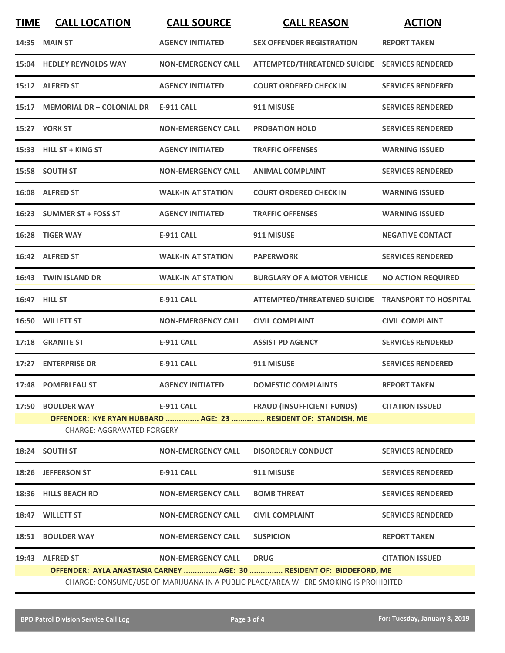| <b>TIME</b>                                                    | <b>CALL LOCATION</b>                                                                | <b>CALL SOURCE</b>        | <b>CALL REASON</b>                                 | <b>ACTION</b>             |  |  |
|----------------------------------------------------------------|-------------------------------------------------------------------------------------|---------------------------|----------------------------------------------------|---------------------------|--|--|
|                                                                | <b>14:35 MAIN ST</b>                                                                | <b>AGENCY INITIATED</b>   | <b>SEX OFFENDER REGISTRATION</b>                   | <b>REPORT TAKEN</b>       |  |  |
|                                                                | 15:04 HEDLEY REYNOLDS WAY                                                           | <b>NON-EMERGENCY CALL</b> | ATTEMPTED/THREATENED SUICIDE SERVICES RENDERED     |                           |  |  |
|                                                                | 15:12 ALFRED ST                                                                     | <b>AGENCY INITIATED</b>   | <b>COURT ORDERED CHECK IN</b>                      | <b>SERVICES RENDERED</b>  |  |  |
|                                                                | 15:17 MEMORIAL DR + COLONIAL DR                                                     | <b>E-911 CALL</b>         | 911 MISUSE                                         | <b>SERVICES RENDERED</b>  |  |  |
|                                                                | 15:27 YORK ST                                                                       | <b>NON-EMERGENCY CALL</b> | <b>PROBATION HOLD</b>                              | <b>SERVICES RENDERED</b>  |  |  |
|                                                                | 15:33 HILL ST + KING ST                                                             | <b>AGENCY INITIATED</b>   | <b>TRAFFIC OFFENSES</b>                            | <b>WARNING ISSUED</b>     |  |  |
|                                                                | 15:58 SOUTH ST                                                                      | <b>NON-EMERGENCY CALL</b> | <b>ANIMAL COMPLAINT</b>                            | <b>SERVICES RENDERED</b>  |  |  |
|                                                                | 16:08 ALFRED ST                                                                     | <b>WALK-IN AT STATION</b> | <b>COURT ORDERED CHECK IN</b>                      | <b>WARNING ISSUED</b>     |  |  |
|                                                                | 16:23 SUMMER ST + FOSS ST                                                           | <b>AGENCY INITIATED</b>   | <b>TRAFFIC OFFENSES</b>                            | <b>WARNING ISSUED</b>     |  |  |
|                                                                | 16:28 TIGER WAY                                                                     | E-911 CALL                | 911 MISUSE                                         | <b>NEGATIVE CONTACT</b>   |  |  |
|                                                                | 16:42 ALFRED ST                                                                     | <b>WALK-IN AT STATION</b> | <b>PAPERWORK</b>                                   | <b>SERVICES RENDERED</b>  |  |  |
|                                                                | 16:43 TWIN ISLAND DR                                                                | <b>WALK-IN AT STATION</b> | <b>BURGLARY OF A MOTOR VEHICLE</b>                 | <b>NO ACTION REQUIRED</b> |  |  |
|                                                                | 16:47 HILL ST                                                                       | <b>E-911 CALL</b>         | ATTEMPTED/THREATENED SUICIDE TRANSPORT TO HOSPITAL |                           |  |  |
|                                                                | 16:50 WILLETT ST                                                                    | <b>NON-EMERGENCY CALL</b> | <b>CIVIL COMPLAINT</b>                             | <b>CIVIL COMPLAINT</b>    |  |  |
|                                                                | 17:18 GRANITE ST                                                                    | <b>E-911 CALL</b>         | <b>ASSIST PD AGENCY</b>                            | <b>SERVICES RENDERED</b>  |  |  |
|                                                                | 17:27 ENTERPRISE DR                                                                 | E-911 CALL                | 911 MISUSE                                         | <b>SERVICES RENDERED</b>  |  |  |
|                                                                | 17:48 POMERLEAU ST                                                                  | <b>AGENCY INITIATED</b>   | <b>DOMESTIC COMPLAINTS</b>                         | <b>REPORT TAKEN</b>       |  |  |
|                                                                | 17:50 BOULDER WAY                                                                   | <b>E-911 CALL</b>         | <b>FRAUD (INSUFFICIENT FUNDS)</b>                  | <b>CITATION ISSUED</b>    |  |  |
| OFFENDER: KYE RYAN HUBBARD  AGE: 23  RESIDENT OF: STANDISH, ME |                                                                                     |                           |                                                    |                           |  |  |
| <b>CHARGE: AGGRAVATED FORGERY</b>                              |                                                                                     |                           |                                                    |                           |  |  |
|                                                                | 18:24 SOUTH ST                                                                      | <b>NON-EMERGENCY CALL</b> | <b>DISORDERLY CONDUCT</b>                          | <b>SERVICES RENDERED</b>  |  |  |
|                                                                | 18:26 JEFFERSON ST                                                                  | <b>E-911 CALL</b>         | 911 MISUSE                                         | <b>SERVICES RENDERED</b>  |  |  |
|                                                                | 18:36 HILLS BEACH RD                                                                | <b>NON-EMERGENCY CALL</b> | <b>BOMB THREAT</b>                                 | <b>SERVICES RENDERED</b>  |  |  |
|                                                                | 18:47 WILLETT ST                                                                    | <b>NON-EMERGENCY CALL</b> | <b>CIVIL COMPLAINT</b>                             | <b>SERVICES RENDERED</b>  |  |  |
|                                                                | <b>18:51 BOULDER WAY</b>                                                            | <b>NON-EMERGENCY CALL</b> | <b>SUSPICION</b>                                   | <b>REPORT TAKEN</b>       |  |  |
|                                                                | 19:43 ALFRED ST                                                                     | <b>NON-EMERGENCY CALL</b> | <b>DRUG</b>                                        | <b>CITATION ISSUED</b>    |  |  |
|                                                                | OFFENDER: AYLA ANASTASIA CARNEY  AGE: 30  RESIDENT OF: BIDDEFORD, ME                |                           |                                                    |                           |  |  |
|                                                                | CHARGE: CONSUME/USE OF MARIJUANA IN A PUBLIC PLACE/AREA WHERE SMOKING IS PROHIBITED |                           |                                                    |                           |  |  |